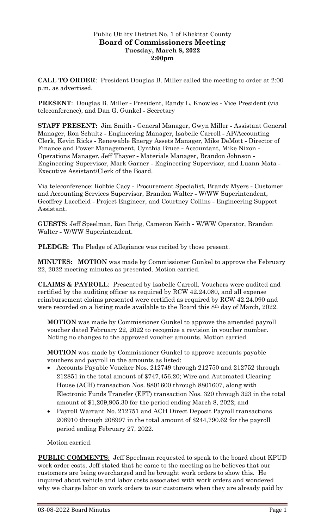## Public Utility District No. 1 of Klickitat County **Board of Commissioners Meeting Tuesday, March 8, 2022 2:00pm**

**CALL TO ORDER**: President Douglas B. Miller called the meeting to order at 2:00 p.m. as advertised.

**PRESENT**: Douglas B. Miller **-** President, Randy L. Knowles **-** Vice President (via teleconference), and Dan G. Gunkel **-** Secretary

**STAFF PRESENT:** Jim Smith **-** General Manager, Gwyn Miller **-** Assistant General Manager, Ron Schultz **-** Engineering Manager, Isabelle Carroll **-** AP/Accounting Clerk, Kevin Ricks **-** Renewable Energy Assets Manager, Mike DeMott **-** Director of Finance and Power Management, Cynthia Bruce **-** Accountant, Mike Nixon **-** Operations Manager, Jeff Thayer **-** Materials Manager, Brandon Johnson **-** Engineering Supervisor, Mark Garner **-** Engineering Supervisor, and Luann Mata **-** Executive Assistant/Clerk of the Board.

Via teleconference: Robbie Cacy **-** Procurement Specialist, Brandy Myers **-** Customer and Accounting Services Supervisor, Brandon Walter **-** W/WW Superintendent, Geoffrey Lacefield **-** Project Engineer, and Courtney Collins **-** Engineering Support Assistant.

**GUESTS:** Jeff Speelman, Ron Ihrig, Cameron Keith **-** W/WW Operator, Brandon Walter **-** W/WW Superintendent.

**PLEDGE:** The Pledge of Allegiance was recited by those present.

**MINUTES: MOTION** was made by Commissioner Gunkel to approve the February 22, 2022 meeting minutes as presented. Motion carried.

**CLAIMS & PAYROLL**: Presented by Isabelle Carroll. Vouchers were audited and certified by the auditing officer as required by RCW 42.24.080, and all expense reimbursement claims presented were certified as required by RCW 42.24.090 and were recorded on a listing made available to the Board this 8th day of March, 2022.

**MOTION** was made by Commissioner Gunkel to approve the amended payroll voucher dated February 22, 2022 to recognize a revision in voucher number. Noting no changes to the approved voucher amounts. Motion carried.

**MOTION** was made by Commissioner Gunkel to approve accounts payable vouchers and payroll in the amounts as listed:

- Accounts Payable Voucher Nos. 212749 through 212750 and 212752 through 212851 in the total amount of \$747,456.20; Wire and Automated Clearing House (ACH) transaction Nos. 8801600 through 8801607, along with Electronic Funds Transfer (EFT) transaction Nos. 320 through 323 in the total amount of \$1,209,905.30 for the period ending March 8, 2022; and
- Payroll Warrant No. 212751 and ACH Direct Deposit Payroll transactions 208910 through 208997 in the total amount of \$244,790.62 for the payroll period ending February 27, 2022.

Motion carried.

**PUBLIC COMMENTS**: Jeff Speelman requested to speak to the board about KPUD work order costs. Jeff stated that he came to the meeting as he believes that our customers are being overcharged and he brought work orders to show this. He inquired about vehicle and labor costs associated with work orders and wondered why we charge labor on work orders to our customers when they are already paid by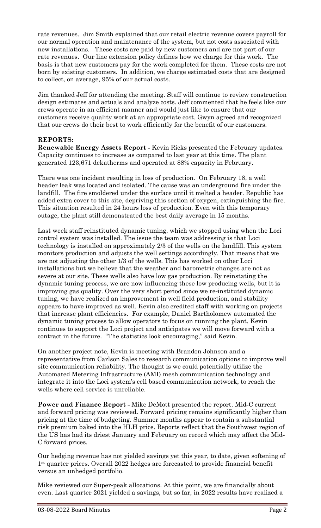rate revenues. Jim Smith explained that our retail electric revenue covers payroll for our normal operation and maintenance of the system, but not costs associated with new installations. These costs are paid by new customers and are not part of our rate revenues. Our line extension policy defines how we charge for this work. The basis is that new customers pay for the work completed for them. These costs are not born by existing customers. In addition, we charge estimated costs that are designed to collect, on average, 95% of our actual costs.

Jim thanked Jeff for attending the meeting. Staff will continue to review construction design estimates and actuals and analyze costs. Jeff commented that he feels like our crews operate in an efficient manner and would just like to ensure that our customers receive quality work at an appropriate cost. Gwyn agreed and recognized that our crews do their best to work efficiently for the benefit of our customers.

### **REPORTS:**

**Renewable Energy Assets Report -** Kevin Ricks presented the February updates. Capacity continues to increase as compared to last year at this time. The plant generated 123,671 dekatherms and operated at 88% capacity in February.

There was one incident resulting in loss of production. On February 18, a well header leak was located and isolated. The cause was an underground fire under the landfill. The fire smoldered under the surface until it melted a header. Republic has added extra cover to this site, depriving this section of oxygen, extinguishing the fire. This situation resulted in 24 hours loss of production. Even with this temporary outage, the plant still demonstrated the best daily average in 15 months.

Last week staff reinstituted dynamic tuning, which we stopped using when the Loci control system was installed. The issue the team was addressing is that Loci technology is installed on approximately 2/3 of the wells on the landfill. This system monitors production and adjusts the well settings accordingly. That means that we are not adjusting the other 1/3 of the wells. This has worked on other Loci installations but we believe that the weather and barometric changes are not as severe at our site. These wells also have low gas production. By reinstating the dynamic tuning process, we are now influencing these low producing wells, but it is improving gas quality. Over the very short period since we re**-**instituted dynamic tuning, we have realized an improvement in well field production, and stability appears to have improved as well. Kevin also credited staff with working on projects that increase plant efficiencies. For example, Daniel Bartholomew automated the dynamic tuning process to allow operators to focus on running the plant. Kevin continues to support the Loci project and anticipates we will move forward with a contract in the future. "The statistics look encouraging," said Kevin.

On another project note, Kevin is meeting with Brandon Johnson and a representative from Carlson Sales to research communication options to improve well site communication reliability. The thought is we could potentially utilize the Automated Metering Infrastructure (AMI) mesh communication technology and integrate it into the Loci system's cell based communication network, to reach the wells where cell service is unreliable.

**Power and Finance Report -** Mike DeMott presented the report. Mid**-**C current and forward pricing was reviewed**.** Forward pricing remains significantly higher than pricing at the time of budgeting. Summer months appear to contain a substantial risk premium baked into the HLH price. Reports reflect that the Southwest region of the US has had its driest January and February on record which may affect the Mid**-**C forward prices.

Our hedging revenue has not yielded savings yet this year, to date, given softening of 1st quarter prices. Overall 2022 hedges are forecasted to provide financial benefit versus an unhedged portfolio.

Mike reviewed our Super**-**peak allocations. At this point, we are financially about even. Last quarter 2021 yielded a savings, but so far, in 2022 results have realized a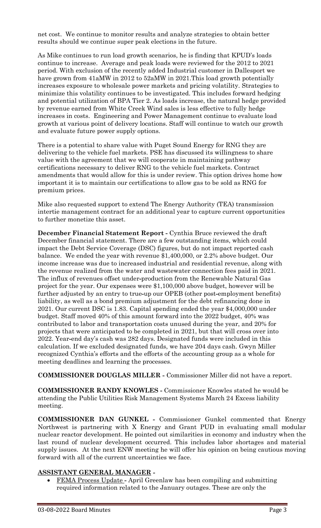net cost. We continue to monitor results and analyze strategies to obtain better results should we continue super peak elections in the future.

As Mike continues to run load growth scenarios, he is finding that KPUD's loads continue to increase. Average and peak loads were reviewed for the 2012 to 2021 period. With exclusion of the recently added Industrial customer in Dallesport we have grown from 41aMW in 2012 to 52aMW in 2021.This load growth potentially increases exposure to wholesale power markets and pricing volatility. Strategies to minimize this volatility continues to be investigated. This includes forward hedging and potential utilization of BPA Tier 2. As loads increase, the natural hedge provided by revenue earned from White Creek Wind sales is less effective to fully hedge increases in costs. Engineering and Power Management continue to evaluate load growth at various point of delivery locations. Staff will continue to watch our growth and evaluate future power supply options.

There is a potential to share value with Puget Sound Energy for RNG they are delivering to the vehicle fuel markets. PSE has discussed its willingness to share value with the agreement that we will cooperate in maintaining pathway certifications necessary to deliver RNG to the vehicle fuel markets. Contract amendments that would allow for this is under review. This option drives home how important it is to maintain our certifications to allow gas to be sold as RNG for premium prices.

Mike also requested support to extend The Energy Authority (TEA) transmission intertie management contract for an additional year to capture current opportunities to further monetize this asset.

**December Financial Statement Report -** Cynthia Bruce reviewed the draft December financial statement. There are a few outstanding items, which could impact the Debt Service Coverage (DSC) figures, but do not impact reported cash balance. We ended the year with revenue \$1,400,000, or 2.2% above budget. Our income increase was due to increased industrial and residential revenue, along with the revenue realized from the water and wastewater connection fees paid in 2021. The influx of revenues offset under**-**production from the Renewable Natural Gas project for the year. Our expenses were \$1,100,000 above budget, however will be further adjusted by an entry to true**-**up our OPEB (other post**-**employment benefits) liability, as well as a bond premium adjustment for the debt refinancing done in 2021. Our current DSC is 1.83. Capital spending ended the year \$4,000,000 under budget. Staff moved 40% of this amount forward into the 2022 budget, 40% was contributed to labor and transportation costs unused during the year, and 20% for projects that were anticipated to be completed in 2021, but that will cross over into 2022. Year**-**end day's cash was 282 days. Designated funds were included in this calculation. If we excluded designated funds, we have 204 days cash. Gwyn Miller recognized Cynthia's efforts and the efforts of the accounting group as a whole for meeting deadlines and learning the processes.

**COMMISSIONER DOUGLAS MILLER -** Commissioner Miller did not have a report.

**COMMISSIONER RANDY KNOWLES -** Commissioner Knowles stated he would be attending the Public Utilities Risk Management Systems March 24 Excess liability meeting.

**COMMISSIONER DAN GUNKEL -** Commissioner Gunkel commented that Energy Northwest is partnering with X Energy and Grant PUD in evaluating small modular nuclear reactor development. He pointed out similarities in economy and industry when the last round of nuclear development occurred. This includes labor shortages and material supply issues. At the next ENW meeting he will offer his opinion on being cautious moving forward with all of the current uncertainties we face.

# **ASSISTANT GENERAL MANAGER -**

• FEMA Process Update **-** April Greenlaw has been compiling and submitting required information related to the January outages. These are only the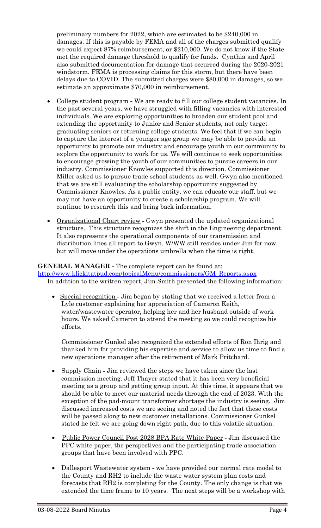preliminary numbers for 2022, which are estimated to be \$240,000 in damages. If this is payable by FEMA and all of the charges submitted qualify we could expect 87% reimbursement, or \$210,000. We do not know if the State met the required damage threshold to qualify for funds. Cynthia and April also submitted documentation for damage that occurred during the 2020**-**2021 windstorm. FEMA is processing claims for this storm, but there have been delays due to COVID. The submitted charges were \$80,000 in damages, so we estimate an approximate \$70,000 in reimbursement.

- College student program **-** We are ready to fill our college student vacancies. In the past several years, we have struggled with filling vacancies with interested individuals. We are exploring opportunities to broaden our student pool and extending the opportunity to Junior and Senior students, not only target graduating seniors or returning college students. We feel that if we can begin to capture the interest of a younger age group we may be able to provide an opportunity to promote our industry and encourage youth in our community to explore the opportunity to work for us. We will continue to seek opportunities to encourage growing the youth of our communities to pursue careers in our industry. Commissioner Knowles supported this direction. Commissioner Miller asked us to pursue trade school students as well. Gwyn also mentioned that we are still evaluating the scholarship opportunity suggested by Commissioner Knowles. As a public entity, we can educate our staff, but we may not have an opportunity to create a scholarship program. We will continue to research this and bring back information.
- Organizational Chart review **-** Gwyn presented the updated organizational structure. This structure recognizes the shift in the Engineering department. It also represents the operational components of our transmission and distribution lines all report to Gwyn. W/WW still resides under Jim for now, but will move under the operations umbrella when the time is right.

# **GENERAL MANAGER -** The complete report can be found at:

[http://www.klickitatpud.com/topicalMenu/commissioners/GM\\_Reports.aspx](http://www.klickitatpud.com/topicalMenu/commissioners/GM_Reports.aspx) In addition to the written report, Jim Smith presented the following information:

• Special recognition **-** Jim began by stating that we received a letter from a Lyle customer explaining her appreciation of Cameron Keith, water/wastewater operator, helping her and her husband outside of work hours. We asked Cameron to attend the meeting so we could recognize his efforts.

Commissioner Gunkel also recognized the extended efforts of Ron Ihrig and thanked him for providing his expertise and service to allow us time to find a new operations manager after the retirement of Mark Pritchard.

- Supply Chain **-** Jim reviewed the steps we have taken since the last commission meeting. Jeff Thayer stated that it has been very beneficial meeting as a group and getting group input. At this time, it appears that we should be able to meet our material needs through the end of 2023. With the exception of the pad-mount transformer shortage the industry is seeing. Jim discussed increased costs we are seeing and noted the fact that these costs will be passed along to new customer installations. Commissioner Gunkel stated he felt we are going down right path, due to this volatile situation.
- Public Power Council Post 2028 BPA Rate White Paper **-** Jim discussed the PPC white paper, the perspectives and the participating trade association groups that have been involved with PPC.
- Dallesport Wastewater system **-** we have provided our normal rate model to the County and RH2 to include the waste water system plan costs and forecasts that RH2 is completing for the County. The only change is that we extended the time frame to 10 years. The next steps will be a workshop with